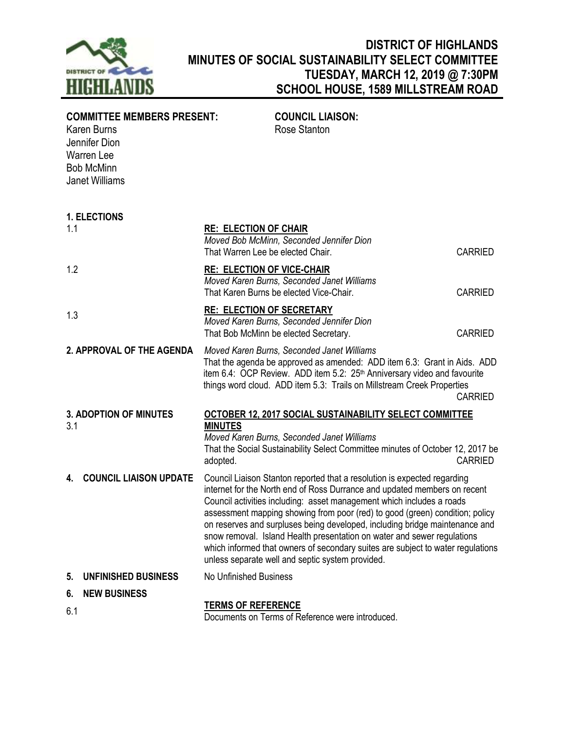

## **DISTRICT OF HIGHLANDS MINUTES OF SOCIAL SUSTAINABILITY SELECT COMMITTEE TUESDAY, MARCH 12, 2019 @ 7:30PM SCHOOL HOUSE, 1589 MILLSTREAM ROAD**

| <b>COMMITTEE MEMBERS PRESENT:</b><br>Karen Burns<br>Jennifer Dion<br><b>Warren Lee</b><br><b>Bob McMinn</b><br><b>Janet Williams</b> | <b>COUNCIL LIAISON:</b><br>Rose Stanton                                                                                                                                                                                                                                                                                                                                                                                                                                                                                                                                                                         |                |
|--------------------------------------------------------------------------------------------------------------------------------------|-----------------------------------------------------------------------------------------------------------------------------------------------------------------------------------------------------------------------------------------------------------------------------------------------------------------------------------------------------------------------------------------------------------------------------------------------------------------------------------------------------------------------------------------------------------------------------------------------------------------|----------------|
| <b>1. ELECTIONS</b>                                                                                                                  |                                                                                                                                                                                                                                                                                                                                                                                                                                                                                                                                                                                                                 |                |
| 1.1                                                                                                                                  | <b>RE: ELECTION OF CHAIR</b><br>Moved Bob McMinn, Seconded Jennifer Dion<br>That Warren Lee be elected Chair.                                                                                                                                                                                                                                                                                                                                                                                                                                                                                                   | <b>CARRIED</b> |
| 1.2                                                                                                                                  | <b>RE: ELECTION OF VICE-CHAIR</b><br>Moved Karen Burns, Seconded Janet Williams<br>That Karen Burns be elected Vice-Chair.                                                                                                                                                                                                                                                                                                                                                                                                                                                                                      | <b>CARRIED</b> |
| 1.3                                                                                                                                  | <b>RE: ELECTION OF SECRETARY</b><br>Moved Karen Burns, Seconded Jennifer Dion<br>That Bob McMinn be elected Secretary.                                                                                                                                                                                                                                                                                                                                                                                                                                                                                          | <b>CARRIED</b> |
| 2. APPROVAL OF THE AGENDA                                                                                                            | Moved Karen Burns, Seconded Janet Williams<br>That the agenda be approved as amended: ADD item 6.3: Grant in Aids. ADD<br>item 6.4: OCP Review. ADD item 5.2: 25 <sup>th</sup> Anniversary video and favourite<br>things word cloud. ADD item 5.3: Trails on Millstream Creek Properties                                                                                                                                                                                                                                                                                                                        | <b>CARRIED</b> |
| <b>3. ADOPTION OF MINUTES</b><br>3.1                                                                                                 | OCTOBER 12, 2017 SOCIAL SUSTAINABILITY SELECT COMMITTEE<br><b>MINUTES</b><br>Moved Karen Burns, Seconded Janet Williams<br>That the Social Sustainability Select Committee minutes of October 12, 2017 be<br>adopted.                                                                                                                                                                                                                                                                                                                                                                                           | <b>CARRIED</b> |
| <b>COUNCIL LIAISON UPDATE</b><br>4.                                                                                                  | Council Liaison Stanton reported that a resolution is expected regarding<br>internet for the North end of Ross Durrance and updated members on recent<br>Council activities including: asset management which includes a roads<br>assessment mapping showing from poor (red) to good (green) condition; policy<br>on reserves and surpluses being developed, including bridge maintenance and<br>snow removal. Island Health presentation on water and sewer regulations<br>which informed that owners of secondary suites are subject to water regulations<br>unless separate well and septic system provided. |                |
| 5.<br><b>UNFINISHED BUSINESS</b>                                                                                                     | <b>No Unfinished Business</b>                                                                                                                                                                                                                                                                                                                                                                                                                                                                                                                                                                                   |                |
| <b>NEW BUSINESS</b><br>6.                                                                                                            |                                                                                                                                                                                                                                                                                                                                                                                                                                                                                                                                                                                                                 |                |
| 6.1                                                                                                                                  | <b>TERMS OF REFERENCE</b><br>Documents on Terms of Reference were introduced.                                                                                                                                                                                                                                                                                                                                                                                                                                                                                                                                   |                |